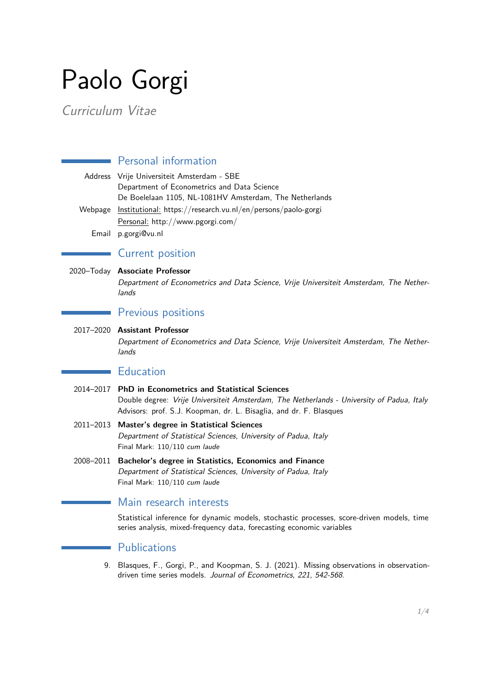# Paolo Gorgi

Curriculum Vitae

# **Personal information**

|         | Address Vrije Universiteit Amsterdam - SBE                   |
|---------|--------------------------------------------------------------|
|         | Department of Econometrics and Data Science                  |
|         | De Boelelaan 1105, NL-1081HV Amsterdam, The Netherlands      |
| Webpage | Institutional: https://research.vu.nl/en/persons/paolo-gorgi |
|         | Personal: http://www.pgorgi.com/                             |
|         | Email p.gorgi@vu.nl                                          |

# **Current position**

#### 2020–Today **Associate Professor**

Department of Econometrics and Data Science, Vrije Universiteit Amsterdam, The Netherlands

# Previous positions

2017–2020 **Assistant Professor** Department of Econometrics and Data Science, Vrije Universiteit Amsterdam, The Netherlands

# **Education**

- 2014–2017 **PhD in Econometrics and Statistical Sciences** Double degree: Vrije Universiteit Amsterdam, The Netherlands - University of Padua, Italy Advisors: prof. S.J. Koopman, dr. L. Bisaglia, and dr. F. Blasques
- 2011–2013 **Master's degree in Statistical Sciences** Department of Statistical Sciences, University of Padua, Italy Final Mark: 110/110 cum laude
- 2008–2011 **Bachelor's degree in Statistics, Economics and Finance** Department of Statistical Sciences, University of Padua, Italy Final Mark: 110/110 cum laude

# Main research interests

Statistical inference for dynamic models, stochastic processes, score-driven models, time series analysis, mixed-frequency data, forecasting economic variables

### **Publications**

9. Blasques, F., Gorgi, P., and Koopman, S. J. (2021). Missing observations in observationdriven time series models. Journal of Econometrics, 221, 542-568.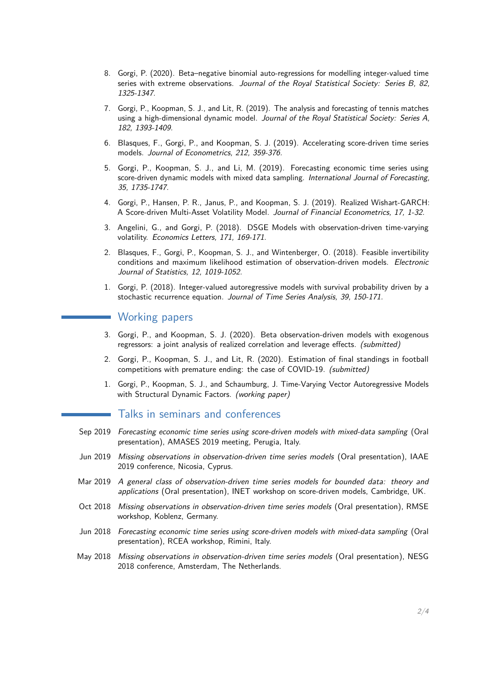- 8. Gorgi, P. (2020). Beta–negative binomial auto-regressions for modelling integer-valued time series with extreme observations. Journal of the Royal Statistical Society: Series B, 82, 1325-1347.
- 7. Gorgi, P., Koopman, S. J., and Lit, R. (2019). The analysis and forecasting of tennis matches using a high-dimensional dynamic model. Journal of the Royal Statistical Society: Series A, 182, 1393-1409.
- 6. Blasques, F., Gorgi, P., and Koopman, S. J. (2019). Accelerating score-driven time series models. Journal of Econometrics, 212, 359-376.
- 5. Gorgi, P., Koopman, S. J., and Li, M. (2019). Forecasting economic time series using score-driven dynamic models with mixed data sampling. *International Journal of Forecasting*, 35, 1735-1747.
- 4. Gorgi, P., Hansen, P. R., Janus, P., and Koopman, S. J. (2019). Realized Wishart-GARCH: A Score-driven Multi-Asset Volatility Model. Journal of Financial Econometrics, 17, 1-32.
- 3. Angelini, G., and Gorgi, P. (2018). DSGE Models with observation-driven time-varying volatility. Economics Letters, 171, 169-171.
- 2. Blasques, F., Gorgi, P., Koopman, S. J., and Wintenberger, O. (2018). Feasible invertibility conditions and maximum likelihood estimation of observation-driven models. Electronic Journal of Statistics, 12, 1019-1052.
- 1. Gorgi, P. (2018). Integer-valued autoregressive models with survival probability driven by a stochastic recurrence equation. Journal of Time Series Analysis, 39, 150-171.

## **Working papers**

- 3. Gorgi, P., and Koopman, S. J. (2020). Beta observation-driven models with exogenous regressors: a joint analysis of realized correlation and leverage effects. (submitted)
- 2. Gorgi, P., Koopman, S. J., and Lit, R. (2020). Estimation of final standings in football competitions with premature ending: the case of COVID-19. (submitted)
- 1. Gorgi, P., Koopman, S. J., and Schaumburg, J. Time-Varying Vector Autoregressive Models with Structural Dynamic Factors. (working paper)

## Talks in seminars and conferences

- Sep 2019 Forecasting economic time series using score-driven models with mixed-data sampling (Oral presentation), AMASES 2019 meeting, Perugia, Italy.
- Jun 2019 Missing observations in observation-driven time series models (Oral presentation), IAAE 2019 conference, Nicosia, Cyprus.
- Mar 2019 A general class of observation-driven time series models for bounded data: theory and applications (Oral presentation), INET workshop on score-driven models, Cambridge, UK.
- Oct 2018 Missing observations in observation-driven time series models (Oral presentation), RMSE workshop, Koblenz, Germany.
- Jun 2018 Forecasting economic time series using score-driven models with mixed-data sampling (Oral presentation), RCEA workshop, Rimini, Italy.
- May 2018 Missing observations in observation-driven time series models (Oral presentation), NESG 2018 conference, Amsterdam, The Netherlands.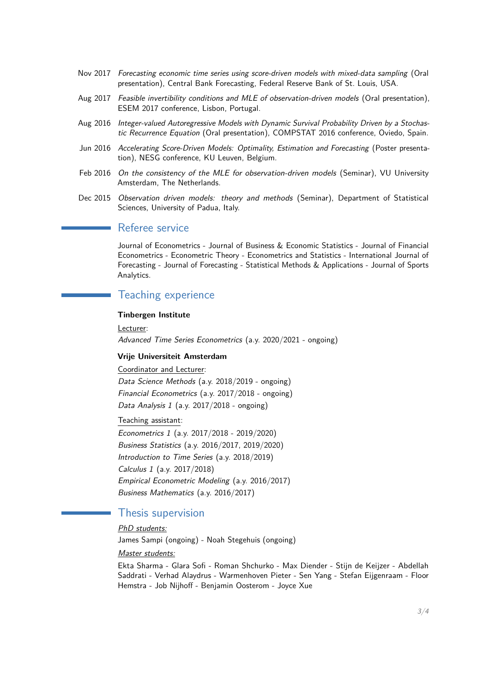- Nov 2017 Forecasting economic time series using score-driven models with mixed-data sampling (Oral presentation), Central Bank Forecasting, Federal Reserve Bank of St. Louis, USA.
- Aug 2017 Feasible invertibility conditions and MLE of observation-driven models (Oral presentation), ESEM 2017 conference, Lisbon, Portugal.
- Aug 2016 Integer-valued Autoregressive Models with Dynamic Survival Probability Driven by a Stochastic Recurrence Equation (Oral presentation), COMPSTAT 2016 conference, Oviedo, Spain.
- Jun 2016 Accelerating Score-Driven Models: Optimality, Estimation and Forecasting (Poster presentation), NESG conference, KU Leuven, Belgium.
- Feb 2016 On the consistency of the MLE for observation-driven models (Seminar), VU University Amsterdam, The Netherlands.
- Dec 2015 Observation driven models: theory and methods (Seminar), Department of Statistical Sciences, University of Padua, Italy.

## Referee service

a.

Journal of Econometrics - Journal of Business & Economic Statistics - Journal of Financial Econometrics - Econometric Theory - Econometrics and Statistics - International Journal of Forecasting - Journal of Forecasting - Statistical Methods & Applications - Journal of Sports Analytics.

## Teaching experience

#### **Tinbergen Institute**

Lecturer: Advanced Time Series Econometrics (a.y. 2020/2021 - ongoing)

#### **Vrije Universiteit Amsterdam**

Coordinator and Lecturer: Data Science Methods (a.y. 2018/2019 - ongoing) Financial Econometrics (a.y. 2017/2018 - ongoing) Data Analysis 1 (a.y.  $2017/2018$  - ongoing)

#### Teaching assistant:

Econometrics 1 (a.y. 2017/2018 - 2019/2020) Business Statistics (a.y. 2016/2017, 2019/2020) Introduction to Time Series (a.y. 2018/2019) Calculus 1 (a.y. 2017/2018) Empirical Econometric Modeling (a.y. 2016/2017) Business Mathematics (a.y. 2016/2017)

## Thesis supervision

## PhD students:

James Sampi (ongoing) - Noah Stegehuis (ongoing)

#### Master students:

Ekta Sharma - Glara Sofi - Roman Shchurko - Max Diender - Stijn de Keijzer - Abdellah Saddrati - Verhad Alaydrus - Warmenhoven Pieter - Sen Yang - Stefan Eijgenraam - Floor Hemstra - Job Nijhoff - Benjamin Oosterom - Joyce Xue